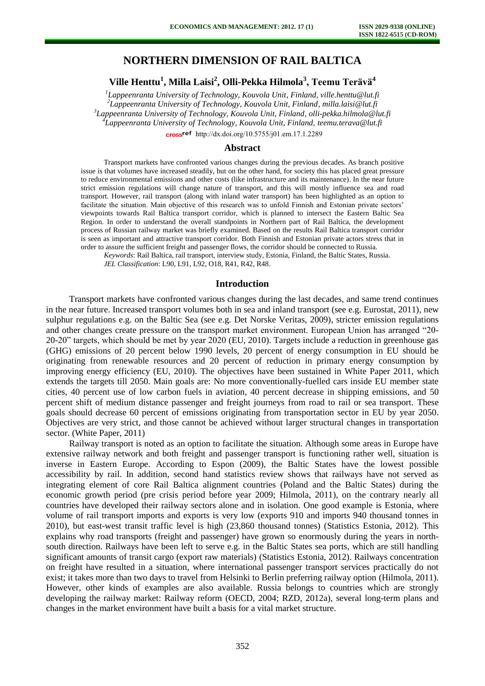# **NORTHERN DIMENSION OF RAIL BALTICA**

**Ville Henttu<sup>1</sup> , Milla Laisi<sup>2</sup> , Olli-Pekka Hilmola<sup>3</sup> , Teemu Terävä<sup>4</sup>**

 *Lappeenranta University of Technology, Kouvola Unit, Finland, ville.henttu@lut.fi Lappeenranta University of Technology, Kouvola Unit, Finland[, milla.laisi@lut.fi](mailto:milla.laisi@lut.fi) Lappeenranta University of Technology, Kouvola Unit, Finland, [olli-pekka.hilmola@lut.fi](mailto:olli-pekka.hilmola@lut.fi)  Lappeenranta University of Technology, Kouvola Unit, Finland, [teemu.terava@lut.fi](mailto:teemu.terava@lut.fi)*

cross<sup>ref</sup> [http://dx.doi.org/10.5755/j01.e](http://dx.doi.org/10.5755/j01.em.17.1.2289)m.17.1.2289

## **Abstract**

Transport markets have confronted various changes during the previous decades. As branch positive issue is that volumes have increased steadily, but on the other hand, for society this has placed great pressure to reduce environmental emissions and other costs (like infrastructure and its maintenance). In the near future strict emission regulations will change nature of transport, and this will mostly influence sea and road transport. However, rail transport (along with inland water transport) has been highlighted as an option to facilitate the situation. Main objective of this research was to unfold Finnish and Estonian private sectors' viewpoints towards Rail Baltica transport corridor, which is planned to intersect the Eastern Baltic Sea Region. In order to understand the overall standpoints in Northern part of Rail Baltica, the development process of Russian railway market was briefly examined. Based on the results Rail Baltica transport corridor is seen as important and attractive transport corridor. Both Finnish and Estonian private actors stress that in order to assure the sufficient freight and passenger flows, the corridor should be connected to Russia.

*Keywords*: Rail Baltica, rail transport, interview study, Estonia, Finland, the Baltic States, Russia.

*JEL Classification*: L90, L91, L92, O18, R41, R42, R48.

### **Introduction**

Transport markets have confronted various changes during the last decades, and same trend continues in the near future. Increased transport volumes both in sea and inland transport (see e.g. Eurostat, 2011), new sulphur regulations e.g. on the Baltic Sea (see e.g. Det Norske Veritas, 2009), stricter emission regulations and other changes create pressure on the transport market environment. European Union has arranged "20- 20-20" targets, which should be met by year 2020 (EU, 2010). Targets include a reduction in greenhouse gas (GHG) emissions of 20 percent below 1990 levels, 20 percent of energy consumption in EU should be originating from renewable resources and 20 percent of reduction in primary energy consumption by improving energy efficiency (EU, 2010). The objectives have been sustained in White Paper 2011, which extends the targets till 2050. Main goals are: No more conventionally-fuelled cars inside EU member state cities, 40 percent use of low carbon fuels in aviation, 40 percent decrease in shipping emissions, and 50 percent shift of medium distance passenger and freight journeys from road to rail or sea transport. These goals should decrease 60 percent of emissions originating from transportation sector in EU by year 2050. Objectives are very strict, and those cannot be achieved without larger structural changes in transportation sector. (White Paper, 2011)

Railway transport is noted as an option to facilitate the situation. Although some areas in Europe have extensive railway network and both freight and passenger transport is functioning rather well, situation is inverse in Eastern Europe. According to Espon (2009), the Baltic States have the lowest possible accessibility by rail. In addition, second hand statistics review shows that railways have not served as integrating element of core Rail Baltica alignment countries (Poland and the Baltic States) during the economic growth period (pre crisis period before year 2009; Hilmola, 2011), on the contrary nearly all countries have developed their railway sectors alone and in isolation. One good example is Estonia, where volume of rail transport imports and exports is very low (exports 910 and imports 940 thousand tonnes in 2010), but east-west transit traffic level is high (23,860 thousand tonnes) (Statistics Estonia, 2012). This explains why road transports (freight and passenger) have grown so enormously during the years in northsouth direction. Railways have been left to serve e.g. in the Baltic States sea ports, which are still handling significant amounts of transit cargo (export raw materials) (Statistics Estonia, 2012). Railways concentration on freight have resulted in a situation, where international passenger transport services practically do not exist; it takes more than two days to travel from Helsinki to Berlin preferring railway option (Hilmola, 2011). However, other kinds of examples are also available. Russia belongs to countries which are strongly developing the railway market: Railway reform (OECD, 2004; RZD, 2012a), several long-term plans and changes in the market environment have built a basis for a vital market structure.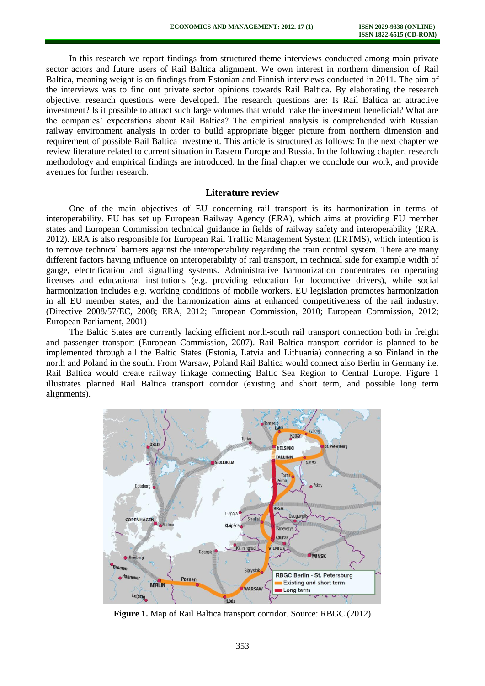In this research we report findings from structured theme interviews conducted among main private sector actors and future users of Rail Baltica alignment. We own interest in northern dimension of Rail Baltica, meaning weight is on findings from Estonian and Finnish interviews conducted in 2011. The aim of the interviews was to find out private sector opinions towards Rail Baltica. By elaborating the research objective, research questions were developed. The research questions are: Is Rail Baltica an attractive investment? Is it possible to attract such large volumes that would make the investment beneficial? What are the companies' expectations about Rail Baltica? The empirical analysis is comprehended with Russian railway environment analysis in order to build appropriate bigger picture from northern dimension and requirement of possible Rail Baltica investment. This article is structured as follows: In the next chapter we review literature related to current situation in Eastern Europe and Russia. In the following chapter, research methodology and empirical findings are introduced. In the final chapter we conclude our work, and provide avenues for further research.

## **Literature review**

One of the main objectives of EU concerning rail transport is its harmonization in terms of interoperability. EU has set up European Railway Agency (ERA), which aims at providing EU member states and European Commission technical guidance in fields of railway safety and interoperability (ERA, 2012). ERA is also responsible for European Rail Traffic Management System (ERTMS), which intention is to remove technical barriers against the interoperability regarding the train control system. There are many different factors having influence on interoperability of rail transport, in technical side for example width of gauge, electrification and signalling systems. Administrative harmonization concentrates on operating licenses and educational institutions (e.g. providing education for locomotive drivers), while social harmonization includes e.g. working conditions of mobile workers. EU legislation promotes harmonization in all EU member states, and the harmonization aims at enhanced competitiveness of the rail industry. (Directive 2008/57/EC, 2008; ERA, 2012; European Commission, 2010; European Commission, 2012; European Parliament, 2001)

The Baltic States are currently lacking efficient north-south rail transport connection both in freight and passenger transport (European Commission, 2007). Rail Baltica transport corridor is planned to be implemented through all the Baltic States (Estonia, Latvia and Lithuania) connecting also Finland in the north and Poland in the south. From Warsaw, Poland Rail Baltica would connect also Berlin in Germany i.e. Rail Baltica would create railway linkage connecting Baltic Sea Region to Central Europe. Figure 1 illustrates planned Rail Baltica transport corridor (existing and short term, and possible long term alignments).



**Figure 1.** Map of Rail Baltica transport corridor. Source: RBGC (2012)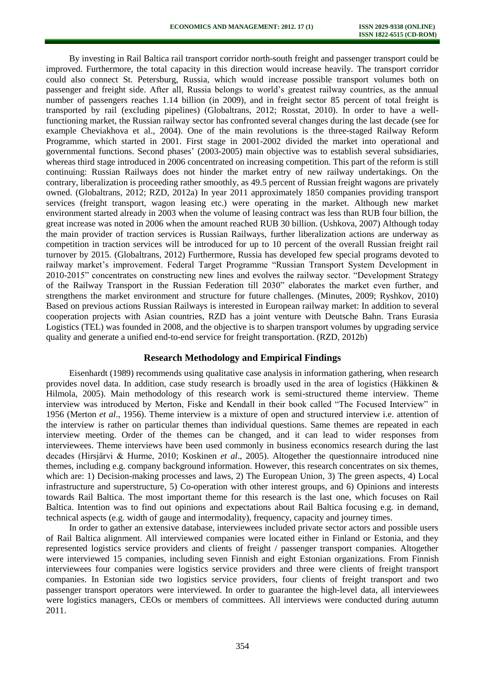By investing in Rail Baltica rail transport corridor north-south freight and passenger transport could be improved. Furthermore, the total capacity in this direction would increase heavily. The transport corridor could also connect St. Petersburg, Russia, which would increase possible transport volumes both on passenger and freight side. After all, Russia belongs to world's greatest railway countries, as the annual number of passengers reaches 1.14 billion (in 2009), and in freight sector 85 percent of total freight is transported by rail (excluding pipelines) (Globaltrans, 2012; Rosstat, 2010). In order to have a wellfunctioning market, the Russian railway sector has confronted several changes during the last decade (see for example Cheviakhova et al., 2004). One of the main revolutions is the three-staged Railway Reform Programme, which started in 2001. First stage in 2001-2002 divided the market into operational and governmental functions. Second phases' (2003-2005) main objective was to establish several subsidiaries, whereas third stage introduced in 2006 concentrated on increasing competition. This part of the reform is still continuing: Russian Railways does not hinder the market entry of new railway undertakings. On the contrary, liberalization is proceeding rather smoothly, as 49.5 percent of Russian freight wagons are privately owned. (Globaltrans, 2012; RZD, 2012a) In year 2011 approximately 1850 companies providing transport services (freight transport, wagon leasing etc.) were operating in the market. Although new market environment started already in 2003 when the volume of leasing contract was less than RUB four billion, the great increase was noted in 2006 when the amount reached RUB 30 billion. (Ushkova, 2007) Although today the main provider of traction services is Russian Railways, further liberalization actions are underway as competition in traction services will be introduced for up to 10 percent of the overall Russian freight rail turnover by 2015. (Globaltrans, 2012) Furthermore, Russia has developed few special programs devoted to railway market's improvement. Federal Target Programme "Russian Transport System Development in 2010-2015" concentrates on constructing new lines and evolves the railway sector. "Development Strategy of the Railway Transport in the Russian Federation till 2030" elaborates the market even further, and strengthens the market environment and structure for future challenges. (Minutes, 2009; Ryshkov, 2010) Based on previous actions Russian Railways is interested in European railway market: In addition to several cooperation projects with Asian countries, RZD has a joint venture with Deutsche Bahn. Trans Eurasia Logistics (TEL) was founded in 2008, and the objective is to sharpen transport volumes by upgrading service quality and generate a unified end-to-end service for freight transportation. (RZD, 2012b)

## **Research Methodology and Empirical Findings**

Eisenhardt (1989) recommends using qualitative case analysis in information gathering, when research provides novel data. In addition, case study research is broadly used in the area of logistics (Häkkinen & Hilmola, 2005). Main methodology of this research work is semi-structured theme interview. Theme interview was introduced by Merton, Fiske and Kendall in their book called "The Focused Interview" in 1956 (Merton *et al*., 1956). Theme interview is a mixture of open and structured interview i.e. attention of the interview is rather on particular themes than individual questions. Same themes are repeated in each interview meeting. Order of the themes can be changed, and it can lead to wider responses from interviewees. Theme interviews have been used commonly in business economics research during the last decades (Hirsjärvi & Hurme, 2010; Koskinen *et al*., 2005). Altogether the questionnaire introduced nine themes, including e.g. company background information. However, this research concentrates on six themes, which are: 1) Decision-making processes and laws, 2) The European Union, 3) The green aspects, 4) Local infrastructure and superstructure, 5) Co-operation with other interest groups, and 6) Opinions and interests towards Rail Baltica. The most important theme for this research is the last one, which focuses on Rail Baltica. Intention was to find out opinions and expectations about Rail Baltica focusing e.g. in demand, technical aspects (e.g. width of gauge and intermodality), frequency, capacity and journey times.

In order to gather an extensive database, interviewees included private sector actors and possible users of Rail Baltica alignment. All interviewed companies were located either in Finland or Estonia, and they represented logistics service providers and clients of freight / passenger transport companies. Altogether were interviewed 15 companies, including seven Finnish and eight Estonian organizations. From Finnish interviewees four companies were logistics service providers and three were clients of freight transport companies. In Estonian side two logistics service providers, four clients of freight transport and two passenger transport operators were interviewed. In order to guarantee the high-level data, all interviewees were logistics managers, CEOs or members of committees. All interviews were conducted during autumn 2011.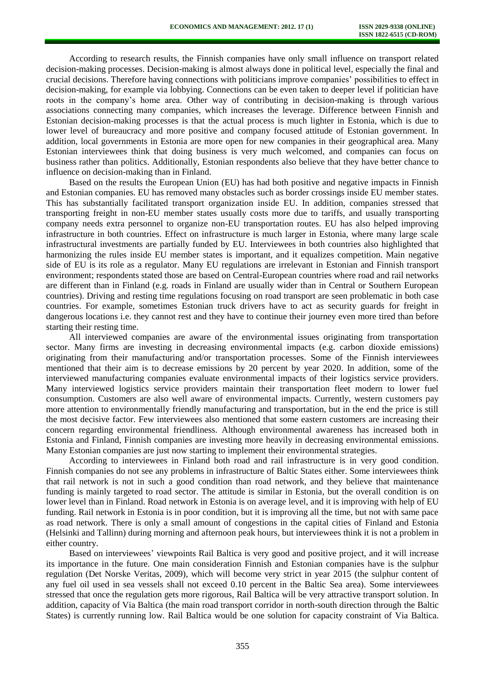According to research results, the Finnish companies have only small influence on transport related decision-making processes. Decision-making is almost always done in political level, especially the final and crucial decisions. Therefore having connections with politicians improve companies' possibilities to effect in decision-making, for example via lobbying. Connections can be even taken to deeper level if politician have roots in the company's home area. Other way of contributing in decision-making is through various associations connecting many companies, which increases the leverage. Difference between Finnish and Estonian decision-making processes is that the actual process is much lighter in Estonia, which is due to lower level of bureaucracy and more positive and company focused attitude of Estonian government. In addition, local governments in Estonia are more open for new companies in their geographical area. Many Estonian interviewees think that doing business is very much welcomed, and companies can focus on business rather than politics. Additionally, Estonian respondents also believe that they have better chance to influence on decision-making than in Finland.

Based on the results the European Union (EU) has had both positive and negative impacts in Finnish and Estonian companies. EU has removed many obstacles such as border crossings inside EU member states. This has substantially facilitated transport organization inside EU. In addition, companies stressed that transporting freight in non-EU member states usually costs more due to tariffs, and usually transporting company needs extra personnel to organize non-EU transportation routes. EU has also helped improving infrastructure in both countries. Effect on infrastructure is much larger in Estonia, where many large scale infrastructural investments are partially funded by EU. Interviewees in both countries also highlighted that harmonizing the rules inside EU member states is important, and it equalizes competition. Main negative side of EU is its role as a regulator. Many EU regulations are irrelevant in Estonian and Finnish transport environment; respondents stated those are based on Central-European countries where road and rail networks are different than in Finland (e.g. roads in Finland are usually wider than in Central or Southern European countries). Driving and resting time regulations focusing on road transport are seen problematic in both case countries. For example, sometimes Estonian truck drivers have to act as security guards for freight in dangerous locations i.e. they cannot rest and they have to continue their journey even more tired than before starting their resting time.

All interviewed companies are aware of the environmental issues originating from transportation sector. Many firms are investing in decreasing environmental impacts (e.g. carbon dioxide emissions) originating from their manufacturing and/or transportation processes. Some of the Finnish interviewees mentioned that their aim is to decrease emissions by 20 percent by year 2020. In addition, some of the interviewed manufacturing companies evaluate environmental impacts of their logistics service providers. Many interviewed logistics service providers maintain their transportation fleet modern to lower fuel consumption. Customers are also well aware of environmental impacts. Currently, western customers pay more attention to environmentally friendly manufacturing and transportation, but in the end the price is still the most decisive factor. Few interviewees also mentioned that some eastern customers are increasing their concern regarding environmental friendliness. Although environmental awareness has increased both in Estonia and Finland, Finnish companies are investing more heavily in decreasing environmental emissions. Many Estonian companies are just now starting to implement their environmental strategies.

According to interviewees in Finland both road and rail infrastructure is in very good condition. Finnish companies do not see any problems in infrastructure of Baltic States either. Some interviewees think that rail network is not in such a good condition than road network, and they believe that maintenance funding is mainly targeted to road sector. The attitude is similar in Estonia, but the overall condition is on lower level than in Finland. Road network in Estonia is on average level, and it is improving with help of EU funding. Rail network in Estonia is in poor condition, but it is improving all the time, but not with same pace as road network. There is only a small amount of congestions in the capital cities of Finland and Estonia (Helsinki and Tallinn) during morning and afternoon peak hours, but interviewees think it is not a problem in either country.

Based on interviewees' viewpoints Rail Baltica is very good and positive project, and it will increase its importance in the future. One main consideration Finnish and Estonian companies have is the sulphur regulation (Det Norske Veritas, 2009), which will become very strict in year 2015 (the sulphur content of any fuel oil used in sea vessels shall not exceed 0.10 percent in the Baltic Sea area). Some interviewees stressed that once the regulation gets more rigorous, Rail Baltica will be very attractive transport solution. In addition, capacity of Via Baltica (the main road transport corridor in north-south direction through the Baltic States) is currently running low. Rail Baltica would be one solution for capacity constraint of Via Baltica.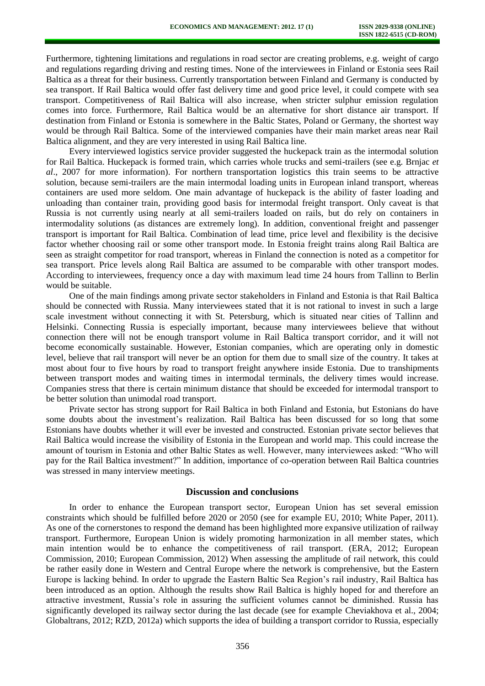Furthermore, tightening limitations and regulations in road sector are creating problems, e.g. weight of cargo and regulations regarding driving and resting times. None of the interviewees in Finland or Estonia sees Rail Baltica as a threat for their business. Currently transportation between Finland and Germany is conducted by sea transport. If Rail Baltica would offer fast delivery time and good price level, it could compete with sea transport. Competitiveness of Rail Baltica will also increase, when stricter sulphur emission regulation comes into force. Furthermore, Rail Baltica would be an alternative for short distance air transport. If destination from Finland or Estonia is somewhere in the Baltic States, Poland or Germany, the shortest way would be through Rail Baltica. Some of the interviewed companies have their main market areas near Rail Baltica alignment, and they are very interested in using Rail Baltica line.

Every interviewed logistics service provider suggested the huckepack train as the intermodal solution for Rail Baltica. Huckepack is formed train, which carries whole trucks and semi-trailers (see e.g. Brnjac *et al*., 2007 for more information). For northern transportation logistics this train seems to be attractive solution, because semi-trailers are the main intermodal loading units in European inland transport, whereas containers are used more seldom. One main advantage of huckepack is the ability of faster loading and unloading than container train, providing good basis for intermodal freight transport. Only caveat is that Russia is not currently using nearly at all semi-trailers loaded on rails, but do rely on containers in intermodality solutions (as distances are extremely long). In addition, conventional freight and passenger transport is important for Rail Baltica. Combination of lead time, price level and flexibility is the decisive factor whether choosing rail or some other transport mode. In Estonia freight trains along Rail Baltica are seen as straight competitor for road transport, whereas in Finland the connection is noted as a competitor for sea transport. Price levels along Rail Baltica are assumed to be comparable with other transport modes. According to interviewees, frequency once a day with maximum lead time 24 hours from Tallinn to Berlin would be suitable.

One of the main findings among private sector stakeholders in Finland and Estonia is that Rail Baltica should be connected with Russia. Many interviewees stated that it is not rational to invest in such a large scale investment without connecting it with St. Petersburg, which is situated near cities of Tallinn and Helsinki. Connecting Russia is especially important, because many interviewees believe that without connection there will not be enough transport volume in Rail Baltica transport corridor, and it will not become economically sustainable. However, Estonian companies, which are operating only in domestic level, believe that rail transport will never be an option for them due to small size of the country. It takes at most about four to five hours by road to transport freight anywhere inside Estonia. Due to transhipments between transport modes and waiting times in intermodal terminals, the delivery times would increase. Companies stress that there is certain minimum distance that should be exceeded for intermodal transport to be better solution than unimodal road transport.

Private sector has strong support for Rail Baltica in both Finland and Estonia, but Estonians do have some doubts about the investment's realization. Rail Baltica has been discussed for so long that some Estonians have doubts whether it will ever be invested and constructed. Estonian private sector believes that Rail Baltica would increase the visibility of Estonia in the European and world map. This could increase the amount of tourism in Estonia and other Baltic States as well. However, many interviewees asked: "Who will pay for the Rail Baltica investment?" In addition, importance of co-operation between Rail Baltica countries was stressed in many interview meetings.

### **Discussion and conclusions**

In order to enhance the European transport sector, European Union has set several emission constraints which should be fulfilled before 2020 or 2050 (see for example EU, 2010; White Paper, 2011). As one of the cornerstones to respond the demand has been highlighted more expansive utilization of railway transport. Furthermore, European Union is widely promoting harmonization in all member states, which main intention would be to enhance the competitiveness of rail transport. (ERA, 2012; European Commission, 2010; European Commission, 2012) When assessing the amplitude of rail network, this could be rather easily done in Western and Central Europe where the network is comprehensive, but the Eastern Europe is lacking behind. In order to upgrade the Eastern Baltic Sea Region's rail industry, Rail Baltica has been introduced as an option. Although the results show Rail Baltica is highly hoped for and therefore an attractive investment, Russia's role in assuring the sufficient volumes cannot be diminished. Russia has significantly developed its railway sector during the last decade (see for example Cheviakhova et al., 2004; Globaltrans, 2012; RZD, 2012a) which supports the idea of building a transport corridor to Russia, especially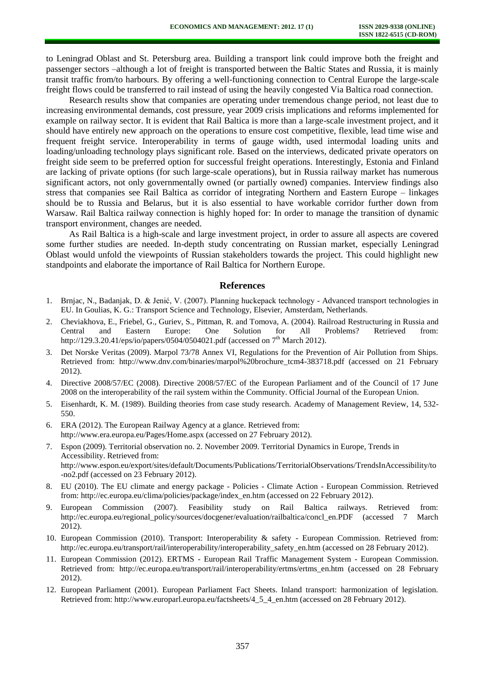to Leningrad Oblast and St. Petersburg area. Building a transport link could improve both the freight and passenger sectors –although a lot of freight is transported between the Baltic States and Russia, it is mainly transit traffic from/to harbours. By offering a well-functioning connection to Central Europe the large-scale freight flows could be transferred to rail instead of using the heavily congested Via Baltica road connection.

Research results show that companies are operating under tremendous change period, not least due to increasing environmental demands, cost pressure, year 2009 crisis implications and reforms implemented for example on railway sector. It is evident that Rail Baltica is more than a large-scale investment project, and it should have entirely new approach on the operations to ensure cost competitive, flexible, lead time wise and frequent freight service. Interoperability in terms of gauge width, used intermodal loading units and loading/unloading technology plays significant role. Based on the interviews, dedicated private operators on freight side seem to be preferred option for successful freight operations. Interestingly, Estonia and Finland are lacking of private options (for such large-scale operations), but in Russia railway market has numerous significant actors, not only governmentally owned (or partially owned) companies. Interview findings also stress that companies see Rail Baltica as corridor of integrating Northern and Eastern Europe – linkages should be to Russia and Belarus, but it is also essential to have workable corridor further down from Warsaw. Rail Baltica railway connection is highly hoped for: In order to manage the transition of dynamic transport environment, changes are needed.

As Rail Baltica is a high-scale and large investment project, in order to assure all aspects are covered some further studies are needed. In-depth study concentrating on Russian market, especially Leningrad Oblast would unfold the viewpoints of Russian stakeholders towards the project. This could highlight new standpoints and elaborate the importance of Rail Baltica for Northern Europe.

#### **References**

- 1. Brnjac, N., Badanjak, D. & Jenić, V. (2007). Planning huckepack technology Advanced transport technologies in EU. In Goulias, K. G.: Transport Science and Technology, Elsevier, Amsterdam, Netherlands.
- 2. Cheviakhova, E., Friebel, G., Guriev, S., Pittman, R. and Tomova, A. (2004). Railroad Restructuring in Russia and Central and Eastern Europe: One Solution for All Problems? Retrieved from: <http://129.3.20.41/eps/io/papers/0504/0504021.pdf>(accessed on 7<sup>th</sup> March 2012).
- Det Norske Veritas (2009). Marpol 73/78 Annex VI, Regulations for the Prevention of Air Pollution from Ships. Retrieved from: http://www.dnv.com/binaries/marpol%20brochure tcm4-383718.pdf (accessed on 21 February 2012).
- 4. Directive 2008/57/EC (2008). Directive 2008/57/EC of the European Parliament and of the Council of 17 June 2008 on the interoperability of the rail system within the Community. Official Journal of the European Union.
- 5. Eisenhardt, K. M. (1989). Building theories from case study research. Academy of Management Review, 14, 532- 550.
- 6. ERA (2012). The European Railway Agency at a glance. Retrieved from: http://www.era.europa.eu/Pages/Home.aspx (accessed on 27 February 2012).
- 7. Espon (2009). Territorial observation no. 2. November 2009. Territorial Dynamics in Europe, Trends in Accessibility. Retrieved from: http://www.espon.eu/export/sites/default/Documents/Publications/TerritorialObservations/TrendsInAccessibility/to -no2.pdf (accessed on 23 February 2012).
- 8. EU (2010). The EU climate and energy package Policies Climate Action European Commission. Retrieved from: http://ec.europa.eu/clima/policies/package/index\_en.htm (accessed on 22 February 2012).
- 9. European Commission (2007). Feasibility study on Rail Baltica railways. Retrieved from: http://ec.europa.eu/regional\_policy/sources/docgener/evaluation/railbaltica/concl\_en.PDF (accessed 7 March 2012).
- 10. European Commission (2010). Transport: Interoperability & safety European Commission. Retrieved from: http://ec.europa.eu/transport/rail/interoperability/interoperability\_safety\_en.htm (accessed on 28 February 2012).
- 11. European Commission (2012). ERTMS European Rail Traffic Management System European Commission. Retrieved from: http://ec.europa.eu/transport/rail/interoperability/ertms/ertms\_en.htm (accessed on 28 February 2012).
- 12. European Parliament (2001). European Parliament Fact Sheets. Inland transport: harmonization of legislation. Retrieved from: http://www.europarl.europa.eu/factsheets/4\_5\_4\_en.htm (accessed on 28 February 2012).